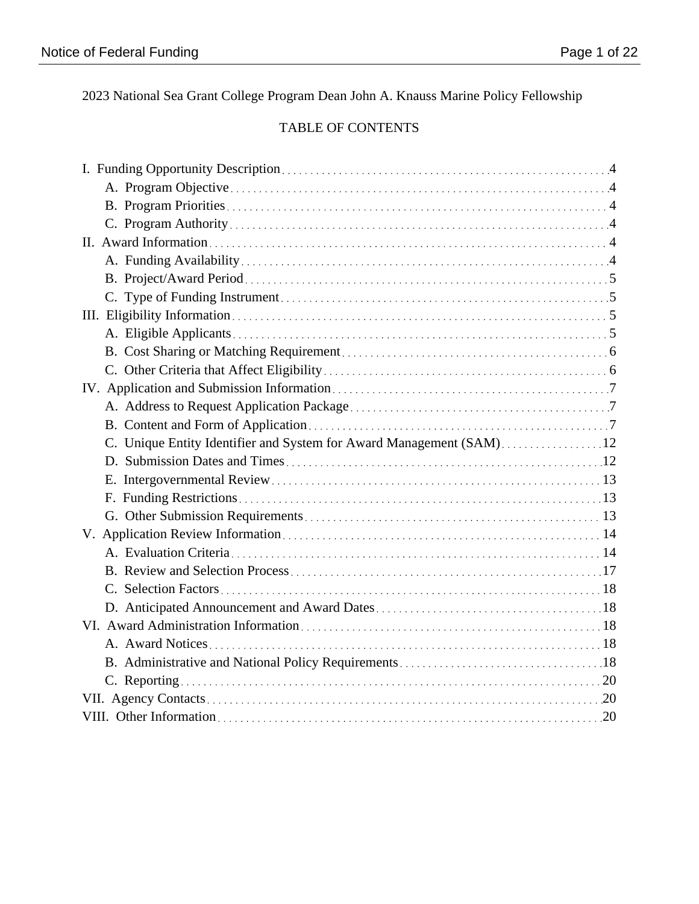2023 National Sea Grant College Program Dean John A. Knauss Marine Policy Fellowship

# TABLE OF CONTENTS

| C. Unique Entity Identifier and System for Award Management (SAM)12 |  |
|---------------------------------------------------------------------|--|
|                                                                     |  |
|                                                                     |  |
|                                                                     |  |
|                                                                     |  |
|                                                                     |  |
|                                                                     |  |
|                                                                     |  |
|                                                                     |  |
|                                                                     |  |
|                                                                     |  |
|                                                                     |  |
|                                                                     |  |
|                                                                     |  |
|                                                                     |  |
|                                                                     |  |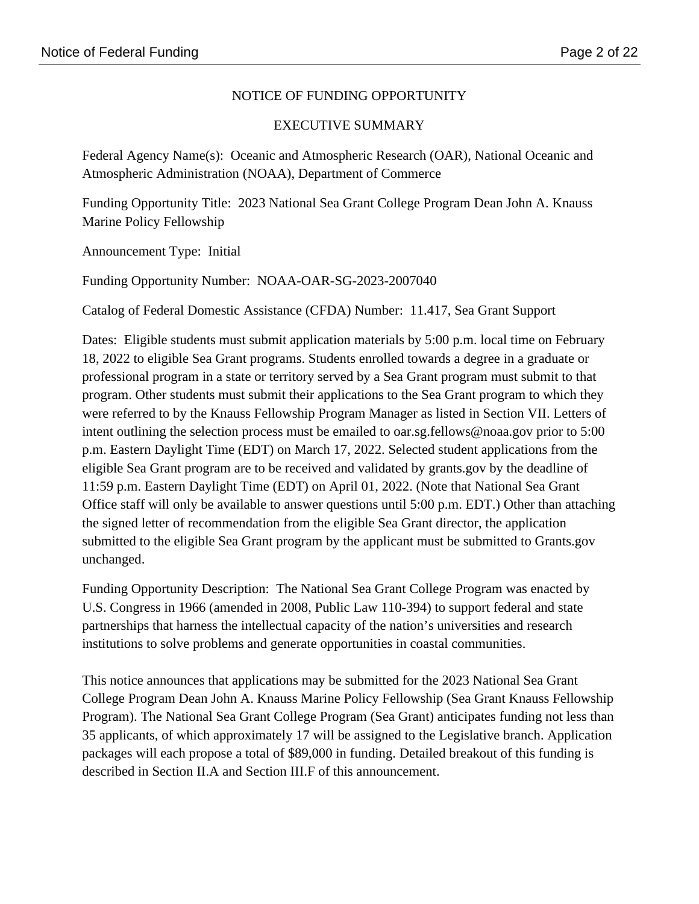# NOTICE OF FUNDING OPPORTUNITY

### EXECUTIVE SUMMARY

Federal Agency Name(s): Oceanic and Atmospheric Research (OAR), National Oceanic and Atmospheric Administration (NOAA), Department of Commerce

Funding Opportunity Title: 2023 National Sea Grant College Program Dean John A. Knauss Marine Policy Fellowship

Announcement Type: Initial

Funding Opportunity Number: NOAA-OAR-SG-2023-2007040

Catalog of Federal Domestic Assistance (CFDA) Number: 11.417, Sea Grant Support

Dates: Eligible students must submit application materials by 5:00 p.m. local time on February 18, 2022 to eligible Sea Grant programs. Students enrolled towards a degree in a graduate or professional program in a state or territory served by a Sea Grant program must submit to that program. Other students must submit their applications to the Sea Grant program to which they were referred to by the Knauss Fellowship Program Manager as listed in Section VII. Letters of intent outlining the selection process must be emailed to oar.sg.fellows@noaa.gov prior to 5:00 p.m. Eastern Daylight Time (EDT) on March 17, 2022. Selected student applications from the eligible Sea Grant program are to be received and validated by grants.gov by the deadline of 11:59 p.m. Eastern Daylight Time (EDT) on April 01, 2022. (Note that National Sea Grant Office staff will only be available to answer questions until 5:00 p.m. EDT.) Other than attaching the signed letter of recommendation from the eligible Sea Grant director, the application submitted to the eligible Sea Grant program by the applicant must be submitted to Grants.gov unchanged.

Funding Opportunity Description: The National Sea Grant College Program was enacted by U.S. Congress in 1966 (amended in 2008, Public Law 110-394) to support federal and state partnerships that harness the intellectual capacity of the nation's universities and research institutions to solve problems and generate opportunities in coastal communities.

This notice announces that applications may be submitted for the 2023 National Sea Grant College Program Dean John A. Knauss Marine Policy Fellowship (Sea Grant Knauss Fellowship Program). The National Sea Grant College Program (Sea Grant) anticipates funding not less than 35 applicants, of which approximately 17 will be assigned to the Legislative branch. Application packages will each propose a total of \$89,000 in funding. Detailed breakout of this funding is described in Section II.A and Section III.F of this announcement.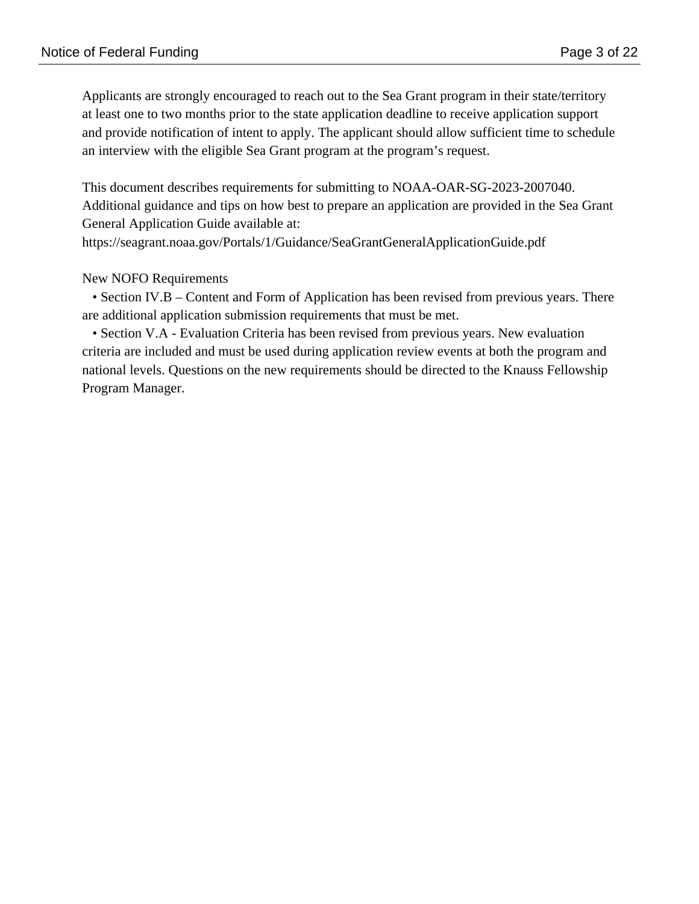Applicants are strongly encouraged to reach out to the Sea Grant program in their state/territory at least one to two months prior to the state application deadline to receive application support and provide notification of intent to apply. The applicant should allow sufficient time to schedule an interview with the eligible Sea Grant program at the program's request.

This document describes requirements for submitting to NOAA-OAR-SG-2023-2007040. Additional guidance and tips on how best to prepare an application are provided in the Sea Grant General Application Guide available at:

https://seagrant.noaa.gov/Portals/1/Guidance/SeaGrantGeneralApplicationGuide.pdf

# New NOFO Requirements

• Section IV.B – Content and Form of Application has been revised from previous years. There are additional application submission requirements that must be met.

 • Section V.A - Evaluation Criteria has been revised from previous years. New evaluation criteria are included and must be used during application review events at both the program and national levels. Questions on the new requirements should be directed to the Knauss Fellowship Program Manager.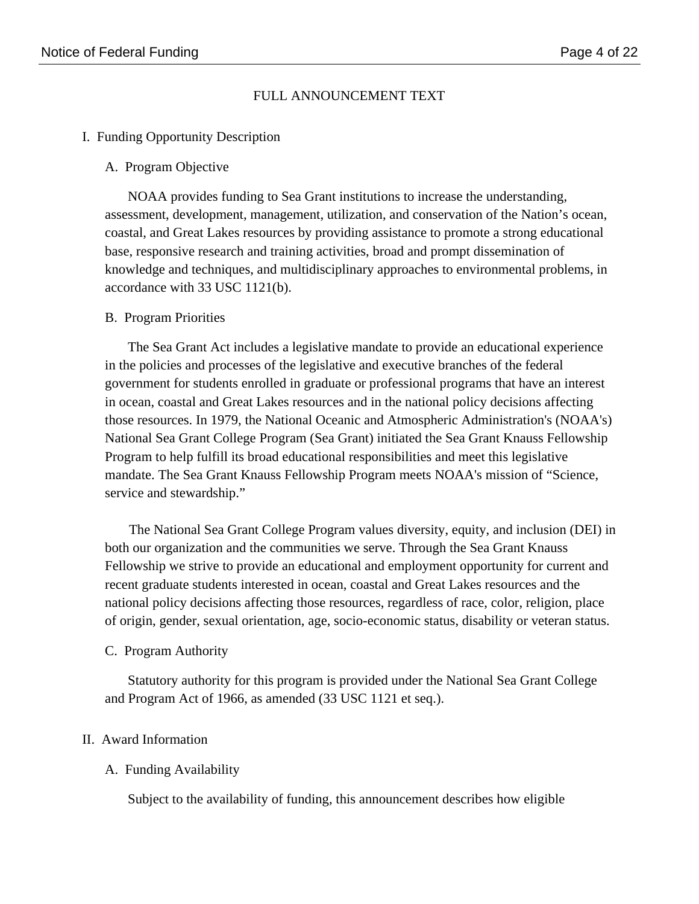# FULL ANNOUNCEMENT TEXT

#### I. Funding Opportunity Description

#### A. Program Objective

NOAA provides funding to Sea Grant institutions to increase the understanding, assessment, development, management, utilization, and conservation of the Nation's ocean, coastal, and Great Lakes resources by providing assistance to promote a strong educational base, responsive research and training activities, broad and prompt dissemination of knowledge and techniques, and multidisciplinary approaches to environmental problems, in accordance with 33 USC 1121(b).

#### B. Program Priorities

The Sea Grant Act includes a legislative mandate to provide an educational experience in the policies and processes of the legislative and executive branches of the federal government for students enrolled in graduate or professional programs that have an interest in ocean, coastal and Great Lakes resources and in the national policy decisions affecting those resources. In 1979, the National Oceanic and Atmospheric Administration's (NOAA's) National Sea Grant College Program (Sea Grant) initiated the Sea Grant Knauss Fellowship Program to help fulfill its broad educational responsibilities and meet this legislative mandate. The Sea Grant Knauss Fellowship Program meets NOAA's mission of "Science, service and stewardship."

 The National Sea Grant College Program values diversity, equity, and inclusion (DEI) in both our organization and the communities we serve. Through the Sea Grant Knauss Fellowship we strive to provide an educational and employment opportunity for current and recent graduate students interested in ocean, coastal and Great Lakes resources and the national policy decisions affecting those resources, regardless of race, color, religion, place of origin, gender, sexual orientation, age, socio-economic status, disability or veteran status.

#### C. Program Authority

Statutory authority for this program is provided under the National Sea Grant College and Program Act of 1966, as amended (33 USC 1121 et seq.).

#### II. Award Information

### A. Funding Availability

Subject to the availability of funding, this announcement describes how eligible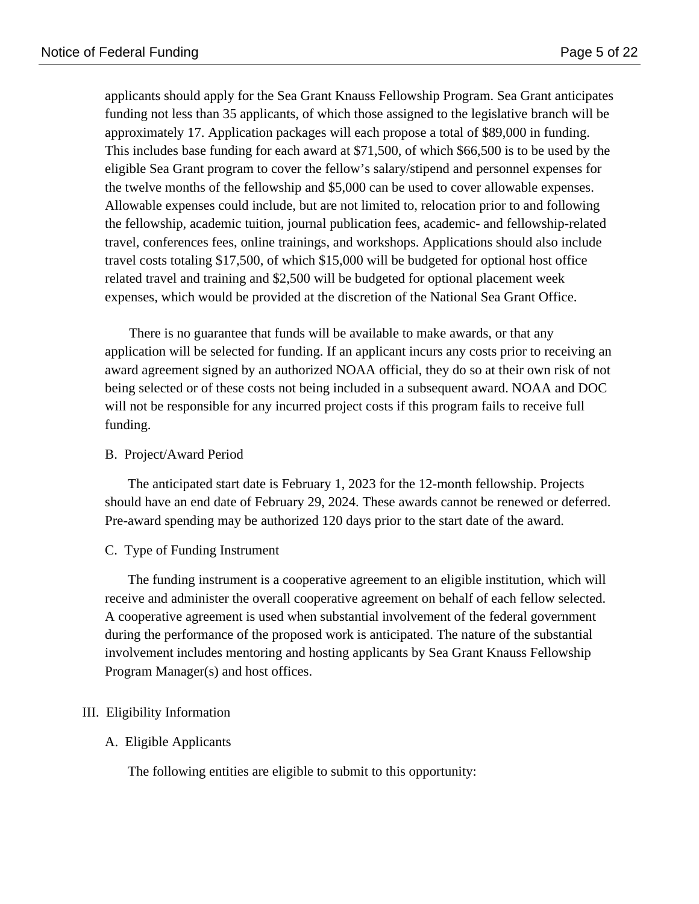applicants should apply for the Sea Grant Knauss Fellowship Program. Sea Grant anticipates funding not less than 35 applicants, of which those assigned to the legislative branch will be approximately 17. Application packages will each propose a total of \$89,000 in funding. This includes base funding for each award at \$71,500, of which \$66,500 is to be used by the eligible Sea Grant program to cover the fellow's salary/stipend and personnel expenses for the twelve months of the fellowship and \$5,000 can be used to cover allowable expenses. Allowable expenses could include, but are not limited to, relocation prior to and following the fellowship, academic tuition, journal publication fees, academic- and fellowship-related travel, conferences fees, online trainings, and workshops. Applications should also include travel costs totaling \$17,500, of which \$15,000 will be budgeted for optional host office related travel and training and \$2,500 will be budgeted for optional placement week expenses, which would be provided at the discretion of the National Sea Grant Office.

 There is no guarantee that funds will be available to make awards, or that any application will be selected for funding. If an applicant incurs any costs prior to receiving an award agreement signed by an authorized NOAA official, they do so at their own risk of not being selected or of these costs not being included in a subsequent award. NOAA and DOC will not be responsible for any incurred project costs if this program fails to receive full funding.

#### B. Project/Award Period

The anticipated start date is February 1, 2023 for the 12-month fellowship. Projects should have an end date of February 29, 2024. These awards cannot be renewed or deferred. Pre-award spending may be authorized 120 days prior to the start date of the award.

C. Type of Funding Instrument

The funding instrument is a cooperative agreement to an eligible institution, which will receive and administer the overall cooperative agreement on behalf of each fellow selected. A cooperative agreement is used when substantial involvement of the federal government during the performance of the proposed work is anticipated. The nature of the substantial involvement includes mentoring and hosting applicants by Sea Grant Knauss Fellowship Program Manager(s) and host offices.

### III. Eligibility Information

#### A. Eligible Applicants

The following entities are eligible to submit to this opportunity: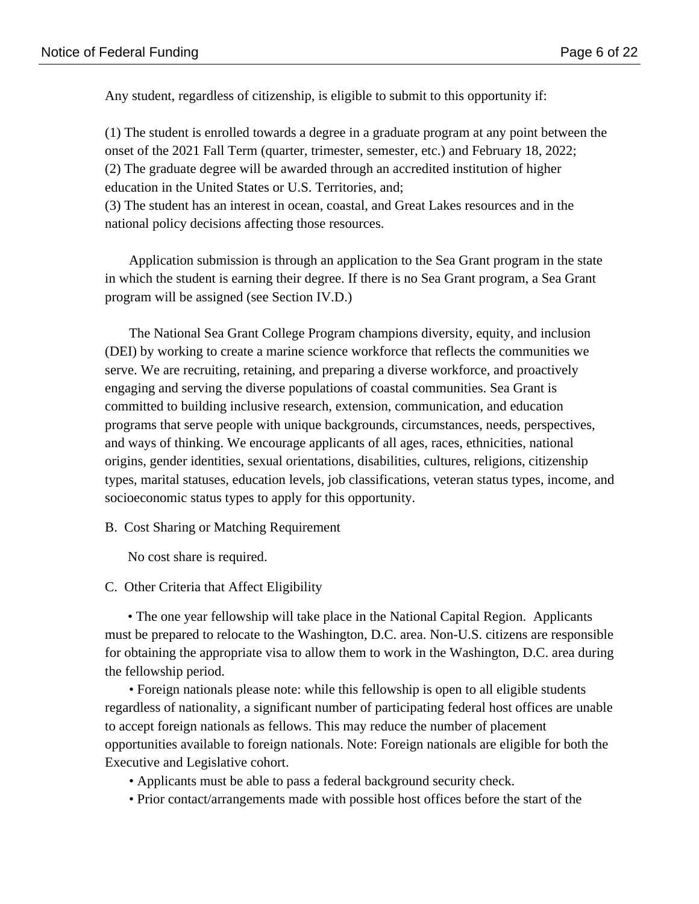Any student, regardless of citizenship, is eligible to submit to this opportunity if:

(1) The student is enrolled towards a degree in a graduate program at any point between the onset of the 2021 Fall Term (quarter, trimester, semester, etc.) and February 18, 2022; (2) The graduate degree will be awarded through an accredited institution of higher education in the United States or U.S. Territories, and;

(3) The student has an interest in ocean, coastal, and Great Lakes resources and in the national policy decisions affecting those resources.

 Application submission is through an application to the Sea Grant program in the state in which the student is earning their degree. If there is no Sea Grant program, a Sea Grant program will be assigned (see Section IV.D.)

 The National Sea Grant College Program champions diversity, equity, and inclusion (DEI) by working to create a marine science workforce that reflects the communities we serve. We are recruiting, retaining, and preparing a diverse workforce, and proactively engaging and serving the diverse populations of coastal communities. Sea Grant is committed to building inclusive research, extension, communication, and education programs that serve people with unique backgrounds, circumstances, needs, perspectives, and ways of thinking. We encourage applicants of all ages, races, ethnicities, national origins, gender identities, sexual orientations, disabilities, cultures, religions, citizenship types, marital statuses, education levels, job classifications, veteran status types, income, and socioeconomic status types to apply for this opportunity.

B. Cost Sharing or Matching Requirement

No cost share is required.

### C. Other Criteria that Affect Eligibility

• The one year fellowship will take place in the National Capital Region. Applicants must be prepared to relocate to the Washington, D.C. area. Non-U.S. citizens are responsible for obtaining the appropriate visa to allow them to work in the Washington, D.C. area during the fellowship period.

 • Foreign nationals please note: while this fellowship is open to all eligible students regardless of nationality, a significant number of participating federal host offices are unable to accept foreign nationals as fellows. This may reduce the number of placement opportunities available to foreign nationals. Note: Foreign nationals are eligible for both the Executive and Legislative cohort.

- Applicants must be able to pass a federal background security check.
- Prior contact/arrangements made with possible host offices before the start of the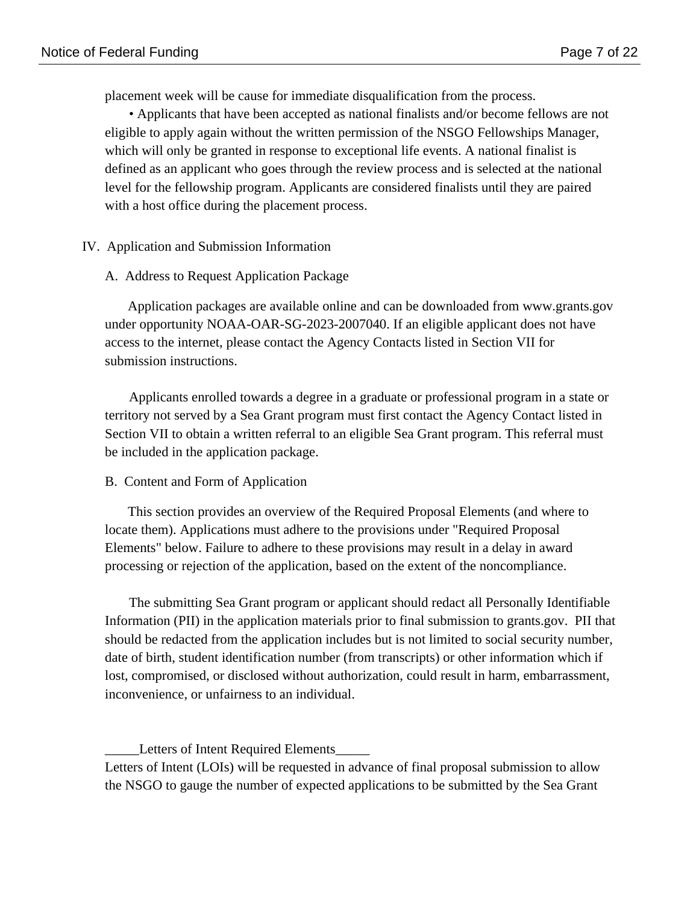placement week will be cause for immediate disqualification from the process.

 • Applicants that have been accepted as national finalists and/or become fellows are not eligible to apply again without the written permission of the NSGO Fellowships Manager, which will only be granted in response to exceptional life events. A national finalist is defined as an applicant who goes through the review process and is selected at the national level for the fellowship program. Applicants are considered finalists until they are paired with a host office during the placement process.

### IV. Application and Submission Information

# A. Address to Request Application Package

Application packages are available online and can be downloaded from www.grants.gov under opportunity NOAA-OAR-SG-2023-2007040. If an eligible applicant does not have access to the internet, please contact the Agency Contacts listed in Section VII for submission instructions.

 Applicants enrolled towards a degree in a graduate or professional program in a state or territory not served by a Sea Grant program must first contact the Agency Contact listed in Section VII to obtain a written referral to an eligible Sea Grant program. This referral must be included in the application package.

### B. Content and Form of Application

This section provides an overview of the Required Proposal Elements (and where to locate them). Applications must adhere to the provisions under "Required Proposal Elements" below. Failure to adhere to these provisions may result in a delay in award processing or rejection of the application, based on the extent of the noncompliance.

 The submitting Sea Grant program or applicant should redact all Personally Identifiable Information (PII) in the application materials prior to final submission to grants.gov. PII that should be redacted from the application includes but is not limited to social security number, date of birth, student identification number (from transcripts) or other information which if lost, compromised, or disclosed without authorization, could result in harm, embarrassment, inconvenience, or unfairness to an individual.

Letters of Intent Required Elements Letters of Intent (LOIs) will be requested in advance of final proposal submission to allow the NSGO to gauge the number of expected applications to be submitted by the Sea Grant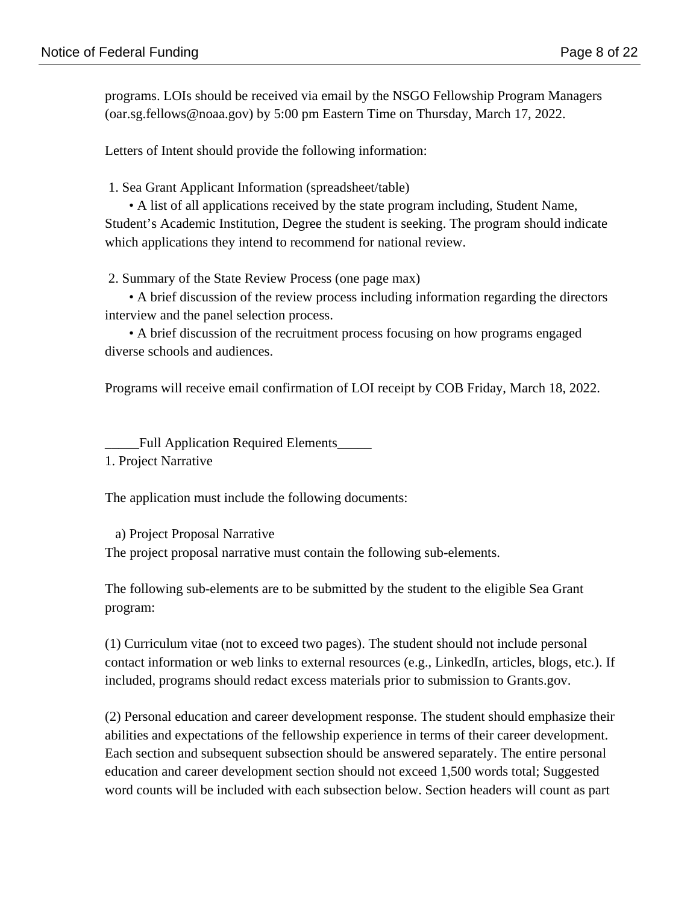programs. LOIs should be received via email by the NSGO Fellowship Program Managers (oar.sg.fellows@noaa.gov) by 5:00 pm Eastern Time on Thursday, March 17, 2022.

Letters of Intent should provide the following information:

1. Sea Grant Applicant Information (spreadsheet/table)

 • A list of all applications received by the state program including, Student Name, Student's Academic Institution, Degree the student is seeking. The program should indicate which applications they intend to recommend for national review.

2. Summary of the State Review Process (one page max)

 • A brief discussion of the review process including information regarding the directors interview and the panel selection process.

 • A brief discussion of the recruitment process focusing on how programs engaged diverse schools and audiences.

Programs will receive email confirmation of LOI receipt by COB Friday, March 18, 2022.

\_\_\_\_\_Full Application Required Elements\_\_\_\_\_ 1. Project Narrative

The application must include the following documents:

a) Project Proposal Narrative

The project proposal narrative must contain the following sub-elements.

The following sub-elements are to be submitted by the student to the eligible Sea Grant program:

(1) Curriculum vitae (not to exceed two pages). The student should not include personal contact information or web links to external resources (e.g., LinkedIn, articles, blogs, etc.). If included, programs should redact excess materials prior to submission to Grants.gov.

(2) Personal education and career development response. The student should emphasize their abilities and expectations of the fellowship experience in terms of their career development. Each section and subsequent subsection should be answered separately. The entire personal education and career development section should not exceed 1,500 words total; Suggested word counts will be included with each subsection below. Section headers will count as part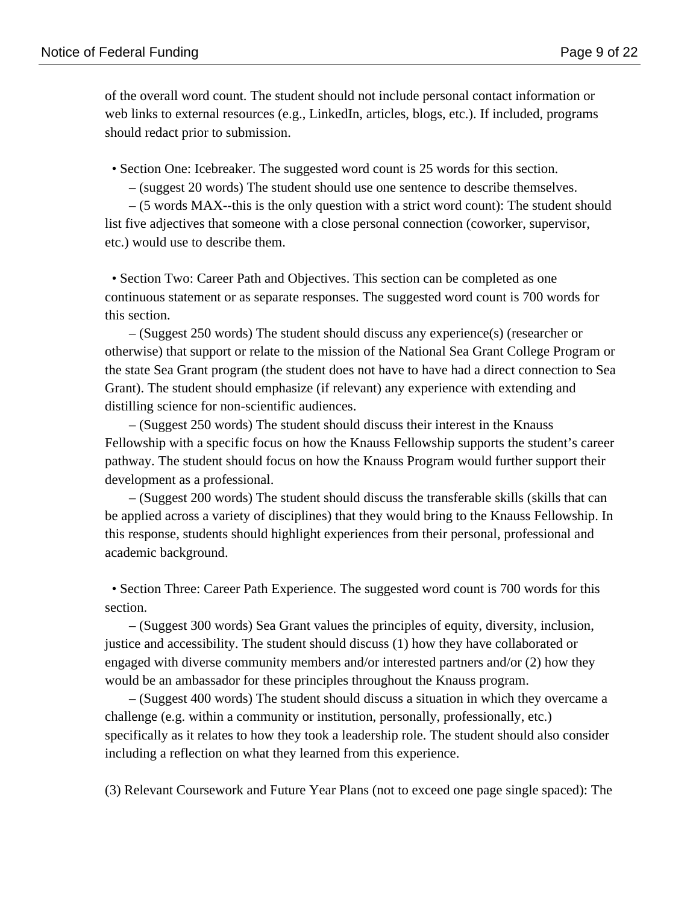of the overall word count. The student should not include personal contact information or web links to external resources (e.g., LinkedIn, articles, blogs, etc.). If included, programs should redact prior to submission.

• Section One: Icebreaker. The suggested word count is 25 words for this section.

– (suggest 20 words) The student should use one sentence to describe themselves.

 – (5 words MAX--this is the only question with a strict word count): The student should list five adjectives that someone with a close personal connection (coworker, supervisor, etc.) would use to describe them.

 • Section Two: Career Path and Objectives. This section can be completed as one continuous statement or as separate responses. The suggested word count is 700 words for this section.

 – (Suggest 250 words) The student should discuss any experience(s) (researcher or otherwise) that support or relate to the mission of the National Sea Grant College Program or the state Sea Grant program (the student does not have to have had a direct connection to Sea Grant). The student should emphasize (if relevant) any experience with extending and distilling science for non-scientific audiences.

 – (Suggest 250 words) The student should discuss their interest in the Knauss Fellowship with a specific focus on how the Knauss Fellowship supports the student's career pathway. The student should focus on how the Knauss Program would further support their development as a professional.

 – (Suggest 200 words) The student should discuss the transferable skills (skills that can be applied across a variety of disciplines) that they would bring to the Knauss Fellowship. In this response, students should highlight experiences from their personal, professional and academic background.

 • Section Three: Career Path Experience. The suggested word count is 700 words for this section.

 – (Suggest 300 words) Sea Grant values the principles of equity, diversity, inclusion, justice and accessibility. The student should discuss (1) how they have collaborated or engaged with diverse community members and/or interested partners and/or (2) how they would be an ambassador for these principles throughout the Knauss program.

 – (Suggest 400 words) The student should discuss a situation in which they overcame a challenge (e.g. within a community or institution, personally, professionally, etc.) specifically as it relates to how they took a leadership role. The student should also consider including a reflection on what they learned from this experience.

(3) Relevant Coursework and Future Year Plans (not to exceed one page single spaced): The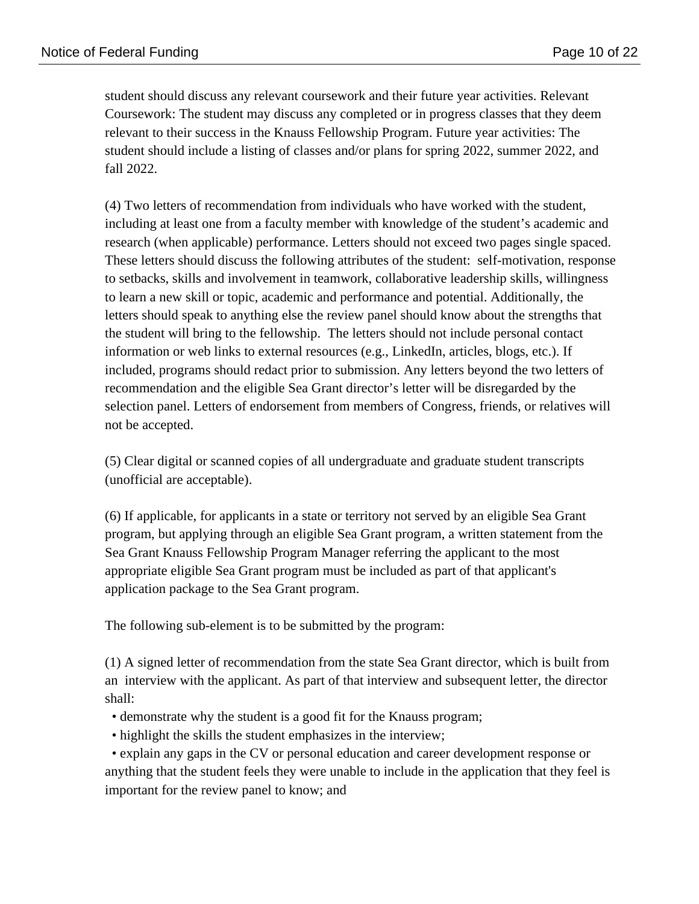student should discuss any relevant coursework and their future year activities. Relevant Coursework: The student may discuss any completed or in progress classes that they deem relevant to their success in the Knauss Fellowship Program. Future year activities: The student should include a listing of classes and/or plans for spring 2022, summer 2022, and fall 2022.

(4) Two letters of recommendation from individuals who have worked with the student, including at least one from a faculty member with knowledge of the student's academic and research (when applicable) performance. Letters should not exceed two pages single spaced. These letters should discuss the following attributes of the student: self-motivation, response to setbacks, skills and involvement in teamwork, collaborative leadership skills, willingness to learn a new skill or topic, academic and performance and potential. Additionally, the letters should speak to anything else the review panel should know about the strengths that the student will bring to the fellowship. The letters should not include personal contact information or web links to external resources (e.g., LinkedIn, articles, blogs, etc.). If included, programs should redact prior to submission. Any letters beyond the two letters of recommendation and the eligible Sea Grant director's letter will be disregarded by the selection panel. Letters of endorsement from members of Congress, friends, or relatives will not be accepted.

(5) Clear digital or scanned copies of all undergraduate and graduate student transcripts (unofficial are acceptable).

(6) If applicable, for applicants in a state or territory not served by an eligible Sea Grant program, but applying through an eligible Sea Grant program, a written statement from the Sea Grant Knauss Fellowship Program Manager referring the applicant to the most appropriate eligible Sea Grant program must be included as part of that applicant's application package to the Sea Grant program.

The following sub-element is to be submitted by the program:

(1) A signed letter of recommendation from the state Sea Grant director, which is built from an interview with the applicant. As part of that interview and subsequent letter, the director shall:

- demonstrate why the student is a good fit for the Knauss program;
- highlight the skills the student emphasizes in the interview;

 • explain any gaps in the CV or personal education and career development response or anything that the student feels they were unable to include in the application that they feel is important for the review panel to know; and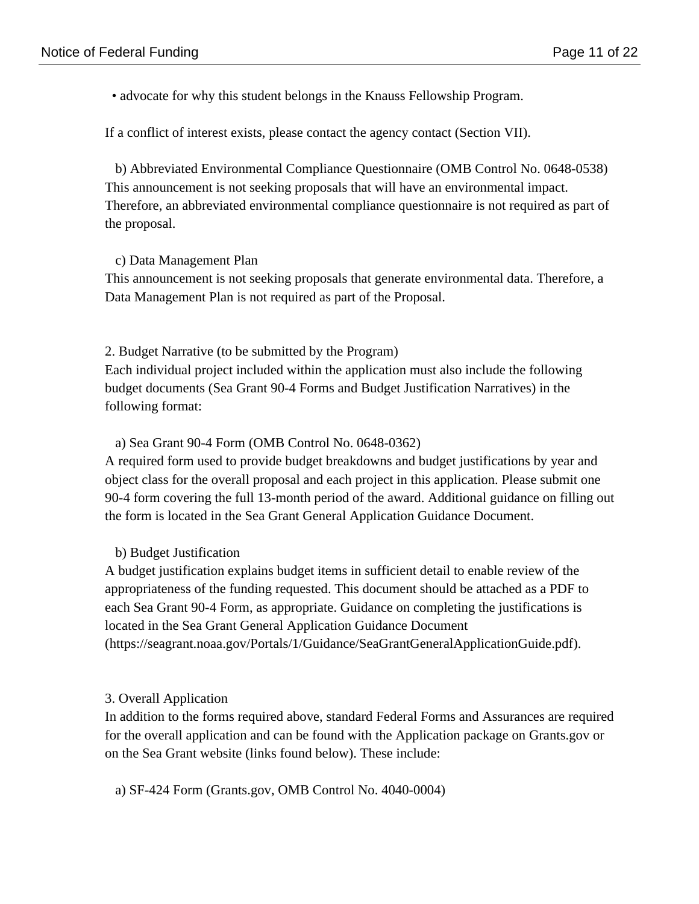• advocate for why this student belongs in the Knauss Fellowship Program.

If a conflict of interest exists, please contact the agency contact (Section VII).

 b) Abbreviated Environmental Compliance Questionnaire (OMB Control No. 0648-0538) This announcement is not seeking proposals that will have an environmental impact. Therefore, an abbreviated environmental compliance questionnaire is not required as part of the proposal.

### c) Data Management Plan

This announcement is not seeking proposals that generate environmental data. Therefore, a Data Management Plan is not required as part of the Proposal.

2. Budget Narrative (to be submitted by the Program) Each individual project included within the application must also include the following budget documents (Sea Grant 90-4 Forms and Budget Justification Narratives) in the following format:

### a) Sea Grant 90-4 Form (OMB Control No. 0648-0362)

A required form used to provide budget breakdowns and budget justifications by year and object class for the overall proposal and each project in this application. Please submit one 90-4 form covering the full 13-month period of the award. Additional guidance on filling out the form is located in the Sea Grant General Application Guidance Document.

### b) Budget Justification

A budget justification explains budget items in sufficient detail to enable review of the appropriateness of the funding requested. This document should be attached as a PDF to each Sea Grant 90-4 Form, as appropriate. Guidance on completing the justifications is located in the Sea Grant General Application Guidance Document (https://seagrant.noaa.gov/Portals/1/Guidance/SeaGrantGeneralApplicationGuide.pdf).

### 3. Overall Application

In addition to the forms required above, standard Federal Forms and Assurances are required for the overall application and can be found with the Application package on Grants.gov or on the Sea Grant website (links found below). These include:

a) SF-424 Form (Grants.gov, OMB Control No. 4040-0004)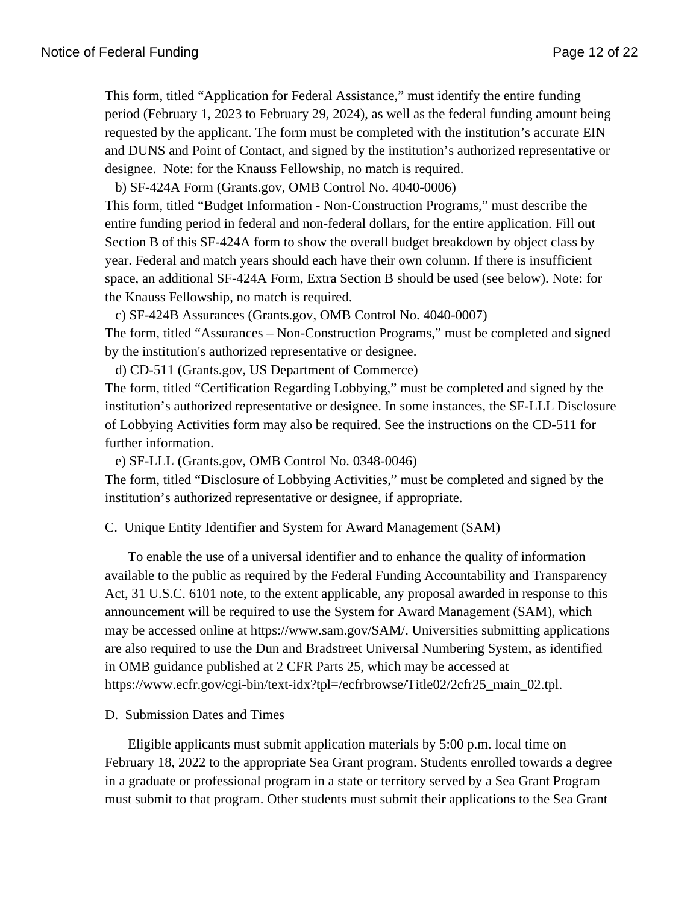This form, titled "Application for Federal Assistance," must identify the entire funding period (February 1, 2023 to February 29, 2024), as well as the federal funding amount being requested by the applicant. The form must be completed with the institution's accurate EIN and DUNS and Point of Contact, and signed by the institution's authorized representative or designee. Note: for the Knauss Fellowship, no match is required.

b) SF-424A Form (Grants.gov, OMB Control No. 4040-0006)

This form, titled "Budget Information - Non-Construction Programs," must describe the entire funding period in federal and non-federal dollars, for the entire application. Fill out Section B of this SF-424A form to show the overall budget breakdown by object class by year. Federal and match years should each have their own column. If there is insufficient space, an additional SF-424A Form, Extra Section B should be used (see below). Note: for the Knauss Fellowship, no match is required.

c) SF-424B Assurances (Grants.gov, OMB Control No. 4040-0007)

The form, titled "Assurances – Non-Construction Programs," must be completed and signed by the institution's authorized representative or designee.

d) CD-511 (Grants.gov, US Department of Commerce)

The form, titled "Certification Regarding Lobbying," must be completed and signed by the institution's authorized representative or designee. In some instances, the SF-LLL Disclosure of Lobbying Activities form may also be required. See the instructions on the CD-511 for further information.

e) SF-LLL (Grants.gov, OMB Control No. 0348-0046)

The form, titled "Disclosure of Lobbying Activities," must be completed and signed by the institution's authorized representative or designee, if appropriate.

C. Unique Entity Identifier and System for Award Management (SAM)

To enable the use of a universal identifier and to enhance the quality of information available to the public as required by the Federal Funding Accountability and Transparency Act, 31 U.S.C. 6101 note, to the extent applicable, any proposal awarded in response to this announcement will be required to use the System for Award Management (SAM), which may be accessed online at https://www.sam.gov/SAM/. Universities submitting applications are also required to use the Dun and Bradstreet Universal Numbering System, as identified in OMB guidance published at 2 CFR Parts 25, which may be accessed at https://www.ecfr.gov/cgi-bin/text-idx?tpl=/ecfrbrowse/Title02/2cfr25\_main\_02.tpl.

#### D. Submission Dates and Times

Eligible applicants must submit application materials by 5:00 p.m. local time on February 18, 2022 to the appropriate Sea Grant program. Students enrolled towards a degree in a graduate or professional program in a state or territory served by a Sea Grant Program must submit to that program. Other students must submit their applications to the Sea Grant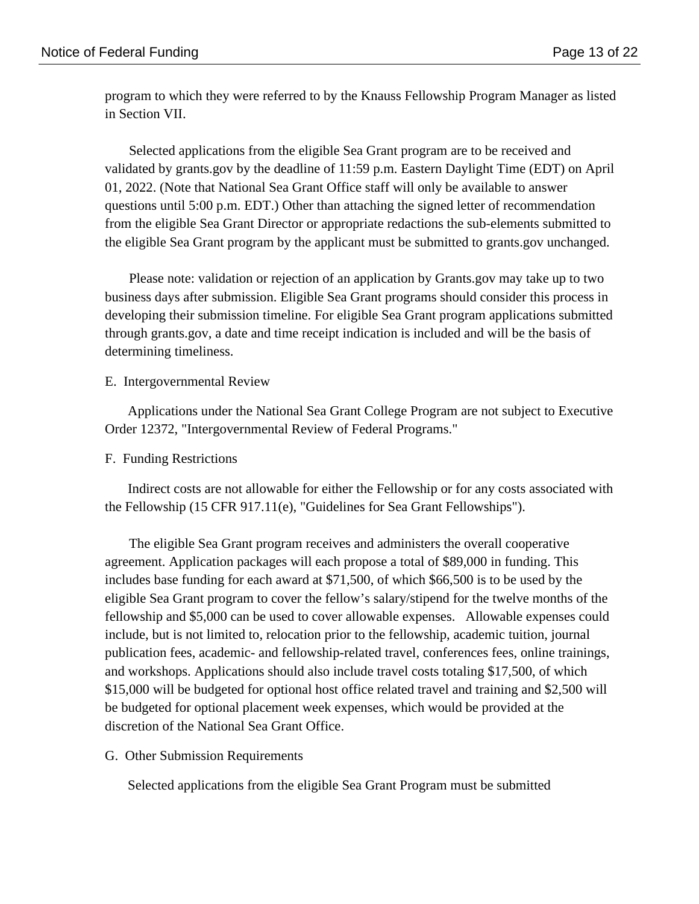program to which they were referred to by the Knauss Fellowship Program Manager as listed in Section VII.

 Selected applications from the eligible Sea Grant program are to be received and validated by grants.gov by the deadline of 11:59 p.m. Eastern Daylight Time (EDT) on April 01, 2022. (Note that National Sea Grant Office staff will only be available to answer questions until 5:00 p.m. EDT.) Other than attaching the signed letter of recommendation from the eligible Sea Grant Director or appropriate redactions the sub-elements submitted to the eligible Sea Grant program by the applicant must be submitted to grants.gov unchanged.

 Please note: validation or rejection of an application by Grants.gov may take up to two business days after submission. Eligible Sea Grant programs should consider this process in developing their submission timeline. For eligible Sea Grant program applications submitted through grants.gov, a date and time receipt indication is included and will be the basis of determining timeliness.

#### E. Intergovernmental Review

Applications under the National Sea Grant College Program are not subject to Executive Order 12372, "Intergovernmental Review of Federal Programs."

#### F. Funding Restrictions

Indirect costs are not allowable for either the Fellowship or for any costs associated with the Fellowship (15 CFR 917.11(e), "Guidelines for Sea Grant Fellowships").

 The eligible Sea Grant program receives and administers the overall cooperative agreement. Application packages will each propose a total of \$89,000 in funding. This includes base funding for each award at \$71,500, of which \$66,500 is to be used by the eligible Sea Grant program to cover the fellow's salary/stipend for the twelve months of the fellowship and \$5,000 can be used to cover allowable expenses. Allowable expenses could include, but is not limited to, relocation prior to the fellowship, academic tuition, journal publication fees, academic- and fellowship-related travel, conferences fees, online trainings, and workshops. Applications should also include travel costs totaling \$17,500, of which \$15,000 will be budgeted for optional host office related travel and training and \$2,500 will be budgeted for optional placement week expenses, which would be provided at the discretion of the National Sea Grant Office.

G. Other Submission Requirements

Selected applications from the eligible Sea Grant Program must be submitted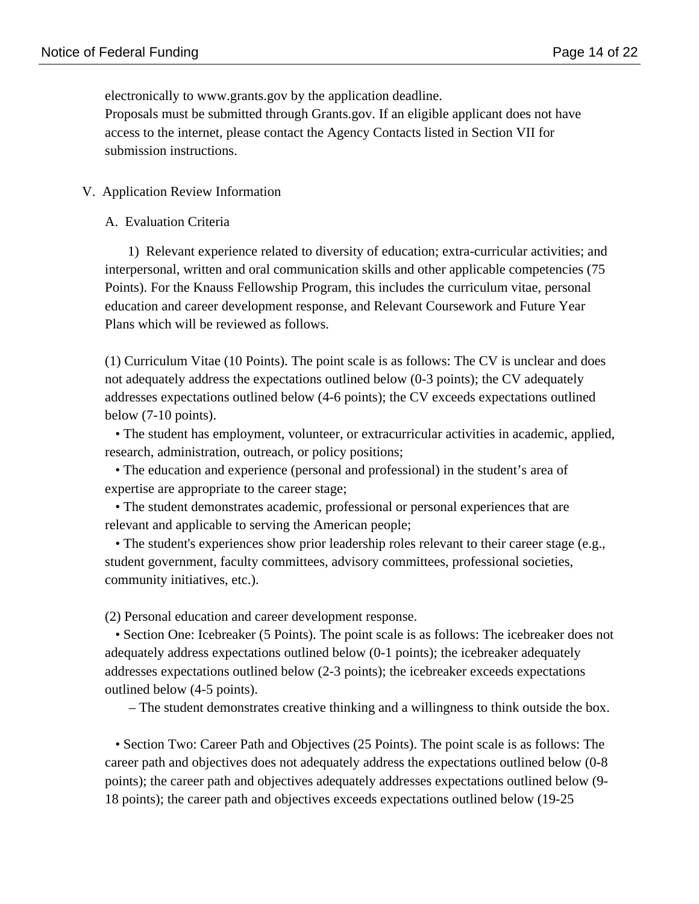electronically to www.grants.gov by the application deadline. Proposals must be submitted through Grants.gov. If an eligible applicant does not have access to the internet, please contact the Agency Contacts listed in Section VII for submission instructions.

### V. Application Review Information

#### A. Evaluation Criteria

1) Relevant experience related to diversity of education; extra-curricular activities; and interpersonal, written and oral communication skills and other applicable competencies (75 Points). For the Knauss Fellowship Program, this includes the curriculum vitae, personal education and career development response, and Relevant Coursework and Future Year Plans which will be reviewed as follows.

(1) Curriculum Vitae (10 Points). The point scale is as follows: The CV is unclear and does not adequately address the expectations outlined below (0-3 points); the CV adequately addresses expectations outlined below (4-6 points); the CV exceeds expectations outlined below (7-10 points).

 • The student has employment, volunteer, or extracurricular activities in academic, applied, research, administration, outreach, or policy positions;

 • The education and experience (personal and professional) in the student's area of expertise are appropriate to the career stage;

 • The student demonstrates academic, professional or personal experiences that are relevant and applicable to serving the American people;

 • The student's experiences show prior leadership roles relevant to their career stage (e.g., student government, faculty committees, advisory committees, professional societies, community initiatives, etc.).

(2) Personal education and career development response.

 • Section One: Icebreaker (5 Points). The point scale is as follows: The icebreaker does not adequately address expectations outlined below (0-1 points); the icebreaker adequately addresses expectations outlined below (2-3 points); the icebreaker exceeds expectations outlined below (4-5 points).

– The student demonstrates creative thinking and a willingness to think outside the box.

 • Section Two: Career Path and Objectives (25 Points). The point scale is as follows: The career path and objectives does not adequately address the expectations outlined below (0-8 points); the career path and objectives adequately addresses expectations outlined below (9- 18 points); the career path and objectives exceeds expectations outlined below (19-25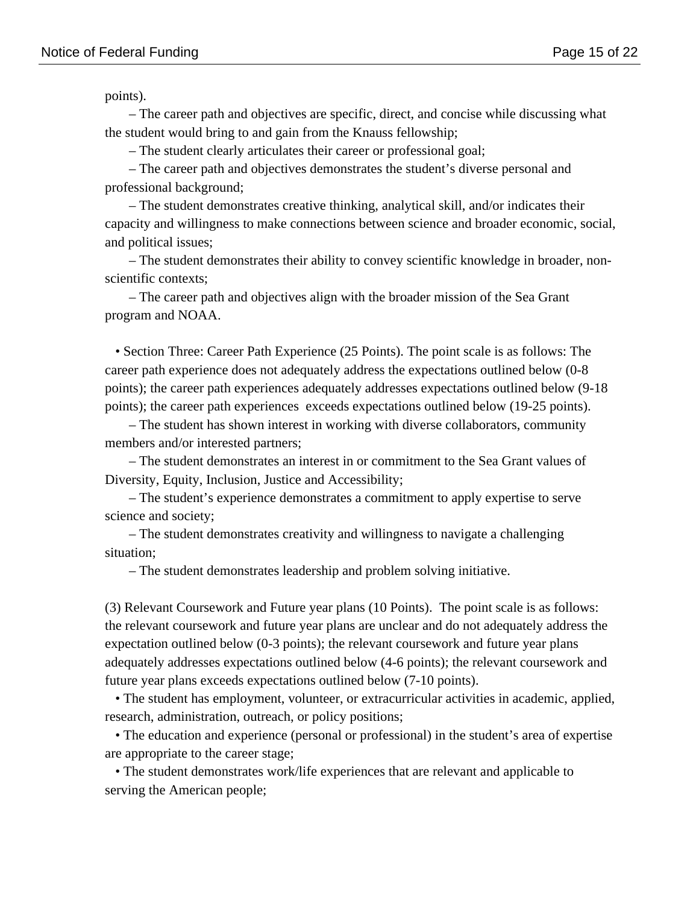points).

 – The career path and objectives are specific, direct, and concise while discussing what the student would bring to and gain from the Knauss fellowship;

– The student clearly articulates their career or professional goal;

 – The career path and objectives demonstrates the student's diverse personal and professional background;

 – The student demonstrates creative thinking, analytical skill, and/or indicates their capacity and willingness to make connections between science and broader economic, social, and political issues;

 – The student demonstrates their ability to convey scientific knowledge in broader, nonscientific contexts;

 – The career path and objectives align with the broader mission of the Sea Grant program and NOAA.

 • Section Three: Career Path Experience (25 Points). The point scale is as follows: The career path experience does not adequately address the expectations outlined below (0-8 points); the career path experiences adequately addresses expectations outlined below (9-18 points); the career path experiences exceeds expectations outlined below (19-25 points).

 – The student has shown interest in working with diverse collaborators, community members and/or interested partners;

 – The student demonstrates an interest in or commitment to the Sea Grant values of Diversity, Equity, Inclusion, Justice and Accessibility;

 – The student's experience demonstrates a commitment to apply expertise to serve science and society;

 – The student demonstrates creativity and willingness to navigate a challenging situation;

– The student demonstrates leadership and problem solving initiative.

(3) Relevant Coursework and Future year plans (10 Points). The point scale is as follows: the relevant coursework and future year plans are unclear and do not adequately address the expectation outlined below (0-3 points); the relevant coursework and future year plans adequately addresses expectations outlined below (4-6 points); the relevant coursework and future year plans exceeds expectations outlined below (7-10 points).

 • The student has employment, volunteer, or extracurricular activities in academic, applied, research, administration, outreach, or policy positions;

 • The education and experience (personal or professional) in the student's area of expertise are appropriate to the career stage;

 • The student demonstrates work/life experiences that are relevant and applicable to serving the American people;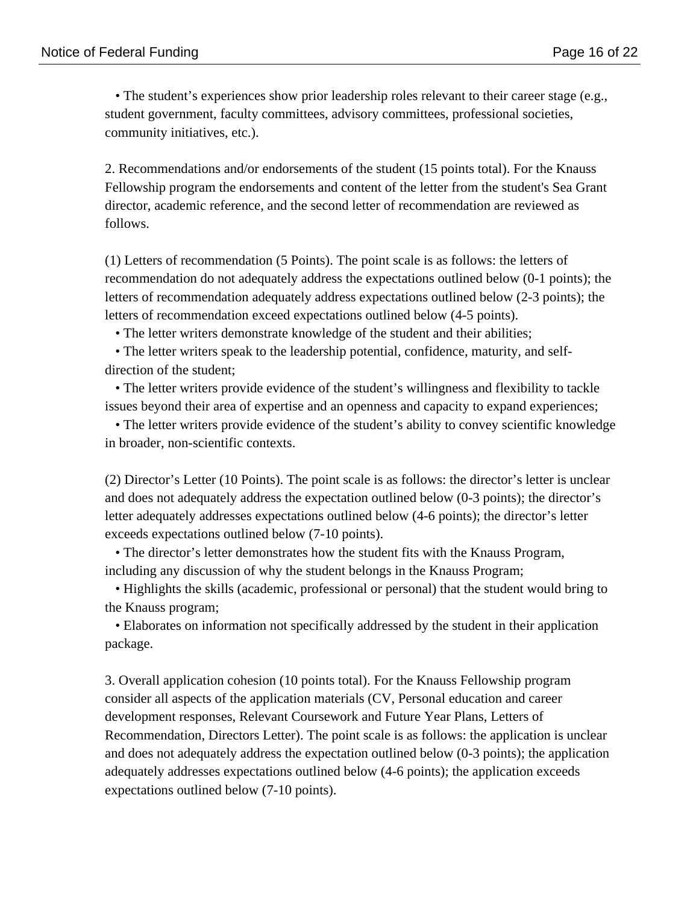• The student's experiences show prior leadership roles relevant to their career stage (e.g., student government, faculty committees, advisory committees, professional societies, community initiatives, etc.).

2. Recommendations and/or endorsements of the student (15 points total). For the Knauss Fellowship program the endorsements and content of the letter from the student's Sea Grant director, academic reference, and the second letter of recommendation are reviewed as follows.

(1) Letters of recommendation (5 Points). The point scale is as follows: the letters of recommendation do not adequately address the expectations outlined below (0-1 points); the letters of recommendation adequately address expectations outlined below (2-3 points); the letters of recommendation exceed expectations outlined below (4-5 points).

• The letter writers demonstrate knowledge of the student and their abilities;

 • The letter writers speak to the leadership potential, confidence, maturity, and selfdirection of the student;

 • The letter writers provide evidence of the student's willingness and flexibility to tackle issues beyond their area of expertise and an openness and capacity to expand experiences;

 • The letter writers provide evidence of the student's ability to convey scientific knowledge in broader, non-scientific contexts.

(2) Director's Letter (10 Points). The point scale is as follows: the director's letter is unclear and does not adequately address the expectation outlined below (0-3 points); the director's letter adequately addresses expectations outlined below (4-6 points); the director's letter exceeds expectations outlined below (7-10 points).

 • The director's letter demonstrates how the student fits with the Knauss Program, including any discussion of why the student belongs in the Knauss Program;

 • Highlights the skills (academic, professional or personal) that the student would bring to the Knauss program;

 • Elaborates on information not specifically addressed by the student in their application package.

3. Overall application cohesion (10 points total). For the Knauss Fellowship program consider all aspects of the application materials (CV, Personal education and career development responses, Relevant Coursework and Future Year Plans, Letters of Recommendation, Directors Letter). The point scale is as follows: the application is unclear and does not adequately address the expectation outlined below (0-3 points); the application adequately addresses expectations outlined below (4-6 points); the application exceeds expectations outlined below (7-10 points).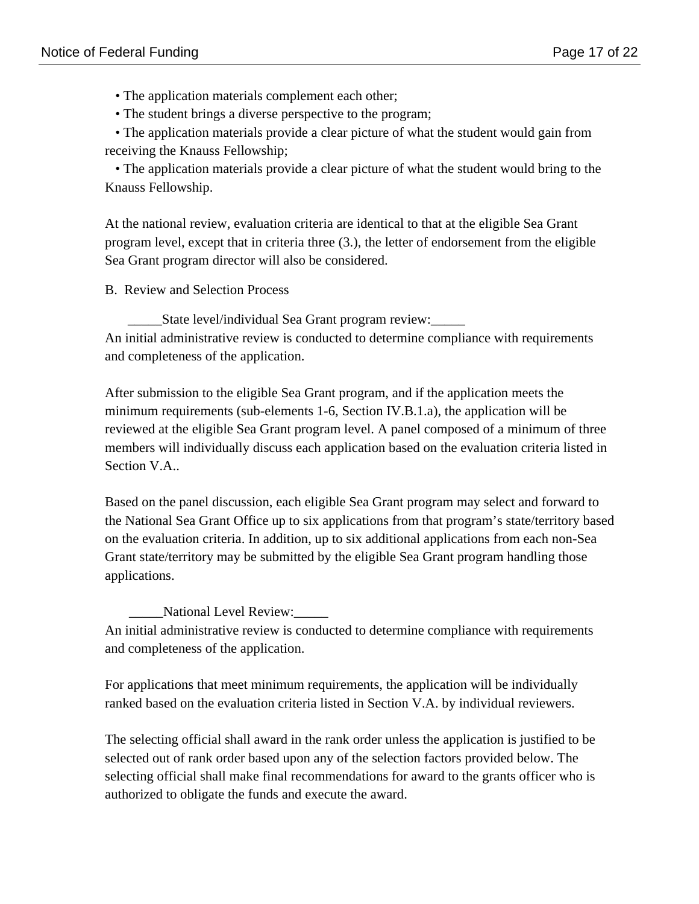- The application materials complement each other;
- The student brings a diverse perspective to the program;

 • The application materials provide a clear picture of what the student would gain from receiving the Knauss Fellowship;

 • The application materials provide a clear picture of what the student would bring to the Knauss Fellowship.

At the national review, evaluation criteria are identical to that at the eligible Sea Grant program level, except that in criteria three (3.), the letter of endorsement from the eligible Sea Grant program director will also be considered.

B. Review and Selection Process

\_\_\_\_\_State level/individual Sea Grant program review:\_\_\_\_\_ An initial administrative review is conducted to determine compliance with requirements and completeness of the application.

After submission to the eligible Sea Grant program, and if the application meets the minimum requirements (sub-elements 1-6, Section IV.B.1.a), the application will be reviewed at the eligible Sea Grant program level. A panel composed of a minimum of three members will individually discuss each application based on the evaluation criteria listed in Section V.A..

Based on the panel discussion, each eligible Sea Grant program may select and forward to the National Sea Grant Office up to six applications from that program's state/territory based on the evaluation criteria. In addition, up to six additional applications from each non-Sea Grant state/territory may be submitted by the eligible Sea Grant program handling those applications.

 \_\_\_\_\_National Level Review:\_\_\_\_\_ An initial administrative review is conducted to determine compliance with requirements and completeness of the application.

For applications that meet minimum requirements, the application will be individually ranked based on the evaluation criteria listed in Section V.A. by individual reviewers.

The selecting official shall award in the rank order unless the application is justified to be selected out of rank order based upon any of the selection factors provided below. The selecting official shall make final recommendations for award to the grants officer who is authorized to obligate the funds and execute the award.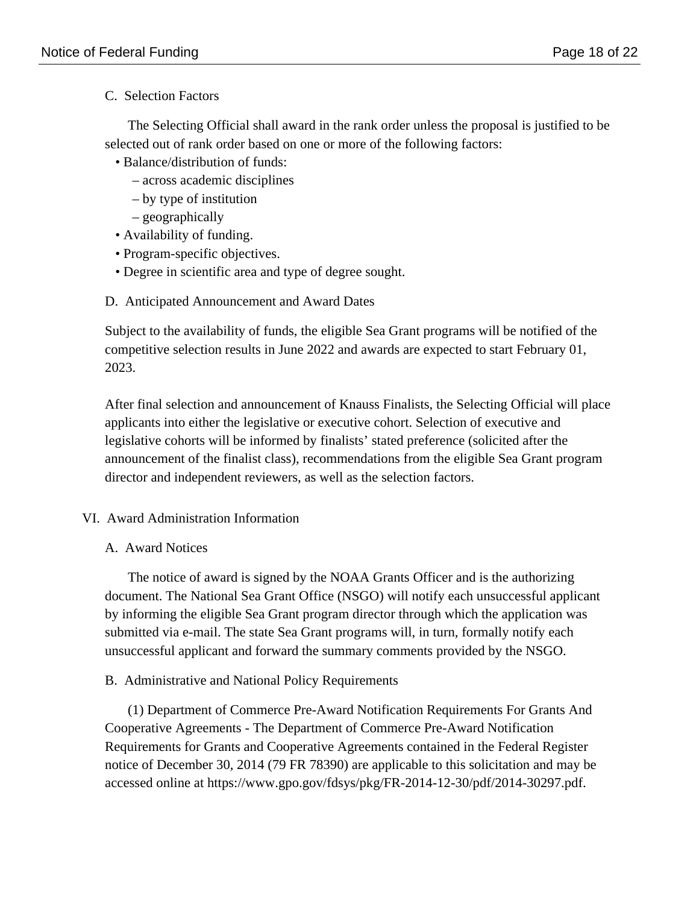C. Selection Factors

The Selecting Official shall award in the rank order unless the proposal is justified to be selected out of rank order based on one or more of the following factors:

- Balance/distribution of funds:
	- across academic disciplines
	- by type of institution
	- geographically
- Availability of funding.
- Program-specific objectives.
- Degree in scientific area and type of degree sought.
- D. Anticipated Announcement and Award Dates

Subject to the availability of funds, the eligible Sea Grant programs will be notified of the competitive selection results in June 2022 and awards are expected to start February 01, 2023.

After final selection and announcement of Knauss Finalists, the Selecting Official will place applicants into either the legislative or executive cohort. Selection of executive and legislative cohorts will be informed by finalists' stated preference (solicited after the announcement of the finalist class), recommendations from the eligible Sea Grant program director and independent reviewers, as well as the selection factors.

# VI. Award Administration Information

A. Award Notices

The notice of award is signed by the NOAA Grants Officer and is the authorizing document. The National Sea Grant Office (NSGO) will notify each unsuccessful applicant by informing the eligible Sea Grant program director through which the application was submitted via e-mail. The state Sea Grant programs will, in turn, formally notify each unsuccessful applicant and forward the summary comments provided by the NSGO.

B. Administrative and National Policy Requirements

(1) Department of Commerce Pre-Award Notification Requirements For Grants And Cooperative Agreements - The Department of Commerce Pre-Award Notification Requirements for Grants and Cooperative Agreements contained in the Federal Register notice of December 30, 2014 (79 FR 78390) are applicable to this solicitation and may be accessed online at https://www.gpo.gov/fdsys/pkg/FR-2014-12-30/pdf/2014-30297.pdf.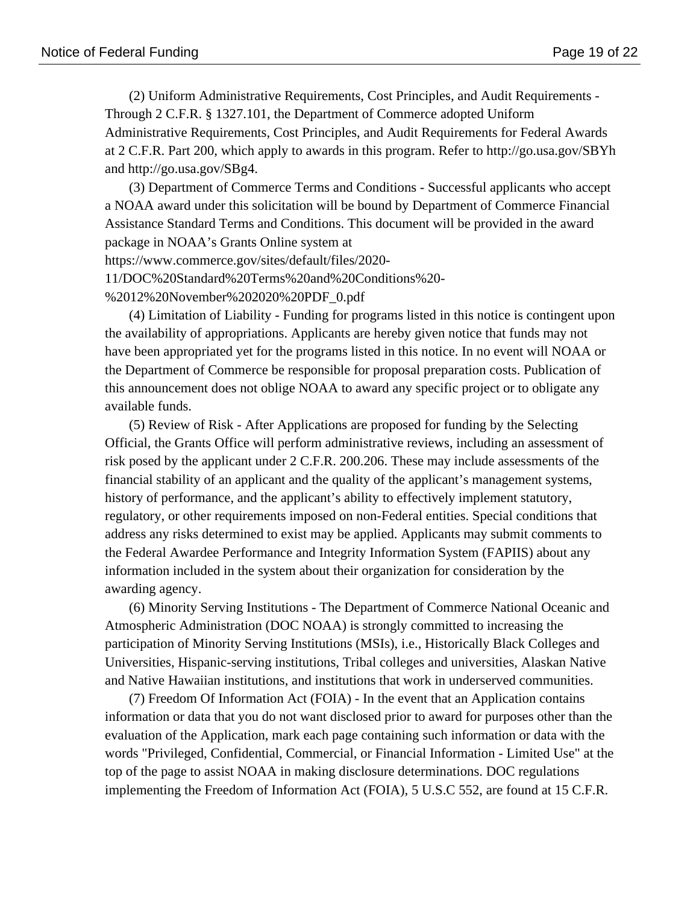(2) Uniform Administrative Requirements, Cost Principles, and Audit Requirements - Through 2 C.F.R. § 1327.101, the Department of Commerce adopted Uniform Administrative Requirements, Cost Principles, and Audit Requirements for Federal Awards at 2 C.F.R. Part 200, which apply to awards in this program. Refer to http://go.usa.gov/SBYh and http://go.usa.gov/SBg4.

 (3) Department of Commerce Terms and Conditions - Successful applicants who accept a NOAA award under this solicitation will be bound by Department of Commerce Financial Assistance Standard Terms and Conditions. This document will be provided in the award package in NOAA's Grants Online system at

https://www.commerce.gov/sites/default/files/2020-

11/DOC%20Standard%20Terms%20and%20Conditions%20-

%2012%20November%202020%20PDF\_0.pdf

 (4) Limitation of Liability - Funding for programs listed in this notice is contingent upon the availability of appropriations. Applicants are hereby given notice that funds may not have been appropriated yet for the programs listed in this notice. In no event will NOAA or the Department of Commerce be responsible for proposal preparation costs. Publication of this announcement does not oblige NOAA to award any specific project or to obligate any available funds.

 (5) Review of Risk - After Applications are proposed for funding by the Selecting Official, the Grants Office will perform administrative reviews, including an assessment of risk posed by the applicant under 2 C.F.R. 200.206. These may include assessments of the financial stability of an applicant and the quality of the applicant's management systems, history of performance, and the applicant's ability to effectively implement statutory, regulatory, or other requirements imposed on non-Federal entities. Special conditions that address any risks determined to exist may be applied. Applicants may submit comments to the Federal Awardee Performance and Integrity Information System (FAPIIS) about any information included in the system about their organization for consideration by the awarding agency.

 (6) Minority Serving Institutions - The Department of Commerce National Oceanic and Atmospheric Administration (DOC NOAA) is strongly committed to increasing the participation of Minority Serving Institutions (MSIs), i.e., Historically Black Colleges and Universities, Hispanic-serving institutions, Tribal colleges and universities, Alaskan Native and Native Hawaiian institutions, and institutions that work in underserved communities.

 (7) Freedom Of Information Act (FOIA) - In the event that an Application contains information or data that you do not want disclosed prior to award for purposes other than the evaluation of the Application, mark each page containing such information or data with the words "Privileged, Confidential, Commercial, or Financial Information - Limited Use" at the top of the page to assist NOAA in making disclosure determinations. DOC regulations implementing the Freedom of Information Act (FOIA), 5 U.S.C 552, are found at 15 C.F.R.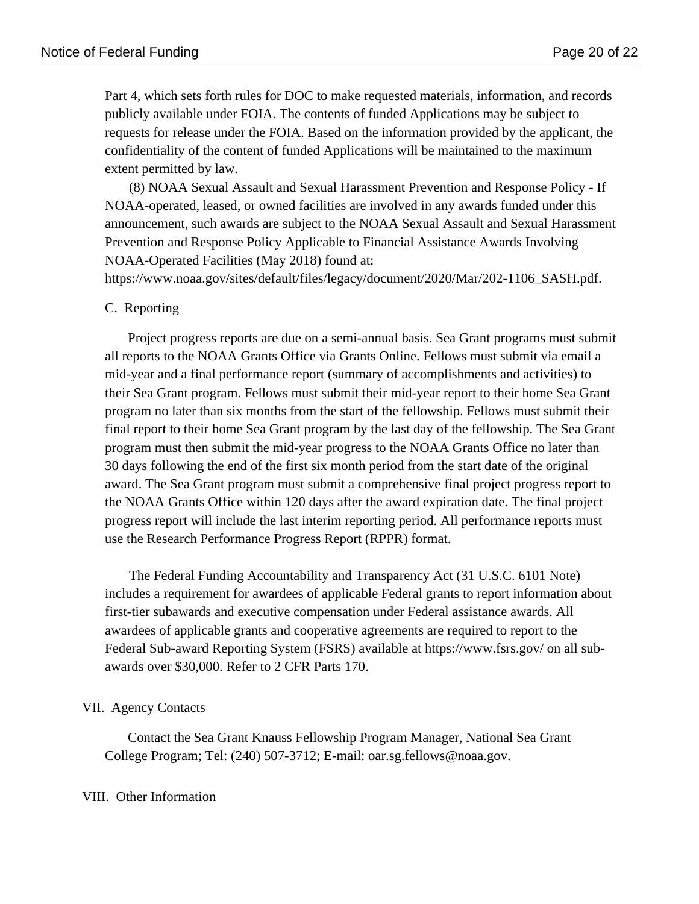Part 4, which sets forth rules for DOC to make requested materials, information, and records publicly available under FOIA. The contents of funded Applications may be subject to requests for release under the FOIA. Based on the information provided by the applicant, the confidentiality of the content of funded Applications will be maintained to the maximum extent permitted by law.

 (8) NOAA Sexual Assault and Sexual Harassment Prevention and Response Policy - If NOAA-operated, leased, or owned facilities are involved in any awards funded under this announcement, such awards are subject to the NOAA Sexual Assault and Sexual Harassment Prevention and Response Policy Applicable to Financial Assistance Awards Involving NOAA-Operated Facilities (May 2018) found at:

https://www.noaa.gov/sites/default/files/legacy/document/2020/Mar/202-1106\_SASH.pdf.

#### C. Reporting

Project progress reports are due on a semi-annual basis. Sea Grant programs must submit all reports to the NOAA Grants Office via Grants Online. Fellows must submit via email a mid-year and a final performance report (summary of accomplishments and activities) to their Sea Grant program. Fellows must submit their mid-year report to their home Sea Grant program no later than six months from the start of the fellowship. Fellows must submit their final report to their home Sea Grant program by the last day of the fellowship. The Sea Grant program must then submit the mid-year progress to the NOAA Grants Office no later than 30 days following the end of the first six month period from the start date of the original award. The Sea Grant program must submit a comprehensive final project progress report to the NOAA Grants Office within 120 days after the award expiration date. The final project progress report will include the last interim reporting period. All performance reports must use the Research Performance Progress Report (RPPR) format.

 The Federal Funding Accountability and Transparency Act (31 U.S.C. 6101 Note) includes a requirement for awardees of applicable Federal grants to report information about first-tier subawards and executive compensation under Federal assistance awards. All awardees of applicable grants and cooperative agreements are required to report to the Federal Sub-award Reporting System (FSRS) available at https://www.fsrs.gov/ on all subawards over \$30,000. Refer to 2 CFR Parts 170.

### VII. Agency Contacts

Contact the Sea Grant Knauss Fellowship Program Manager, National Sea Grant College Program; Tel: (240) 507-3712; E-mail: oar.sg.fellows@noaa.gov.

#### VIII. Other Information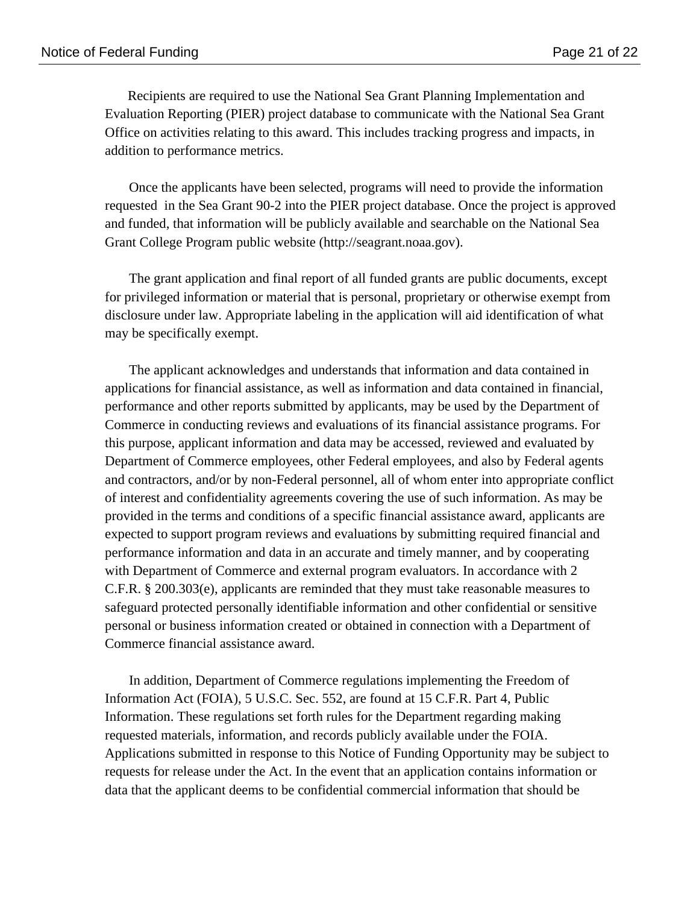Recipients are required to use the National Sea Grant Planning Implementation and Evaluation Reporting (PIER) project database to communicate with the National Sea Grant Office on activities relating to this award. This includes tracking progress and impacts, in addition to performance metrics.

 Once the applicants have been selected, programs will need to provide the information requested in the Sea Grant 90-2 into the PIER project database. Once the project is approved and funded, that information will be publicly available and searchable on the National Sea Grant College Program public website (http://seagrant.noaa.gov).

 The grant application and final report of all funded grants are public documents, except for privileged information or material that is personal, proprietary or otherwise exempt from disclosure under law. Appropriate labeling in the application will aid identification of what may be specifically exempt.

 The applicant acknowledges and understands that information and data contained in applications for financial assistance, as well as information and data contained in financial, performance and other reports submitted by applicants, may be used by the Department of Commerce in conducting reviews and evaluations of its financial assistance programs. For this purpose, applicant information and data may be accessed, reviewed and evaluated by Department of Commerce employees, other Federal employees, and also by Federal agents and contractors, and/or by non-Federal personnel, all of whom enter into appropriate conflict of interest and confidentiality agreements covering the use of such information. As may be provided in the terms and conditions of a specific financial assistance award, applicants are expected to support program reviews and evaluations by submitting required financial and performance information and data in an accurate and timely manner, and by cooperating with Department of Commerce and external program evaluators. In accordance with 2 C.F.R. § 200.303(e), applicants are reminded that they must take reasonable measures to safeguard protected personally identifiable information and other confidential or sensitive personal or business information created or obtained in connection with a Department of Commerce financial assistance award.

 In addition, Department of Commerce regulations implementing the Freedom of Information Act (FOIA), 5 U.S.C. Sec. 552, are found at 15 C.F.R. Part 4, Public Information. These regulations set forth rules for the Department regarding making requested materials, information, and records publicly available under the FOIA. Applications submitted in response to this Notice of Funding Opportunity may be subject to requests for release under the Act. In the event that an application contains information or data that the applicant deems to be confidential commercial information that should be